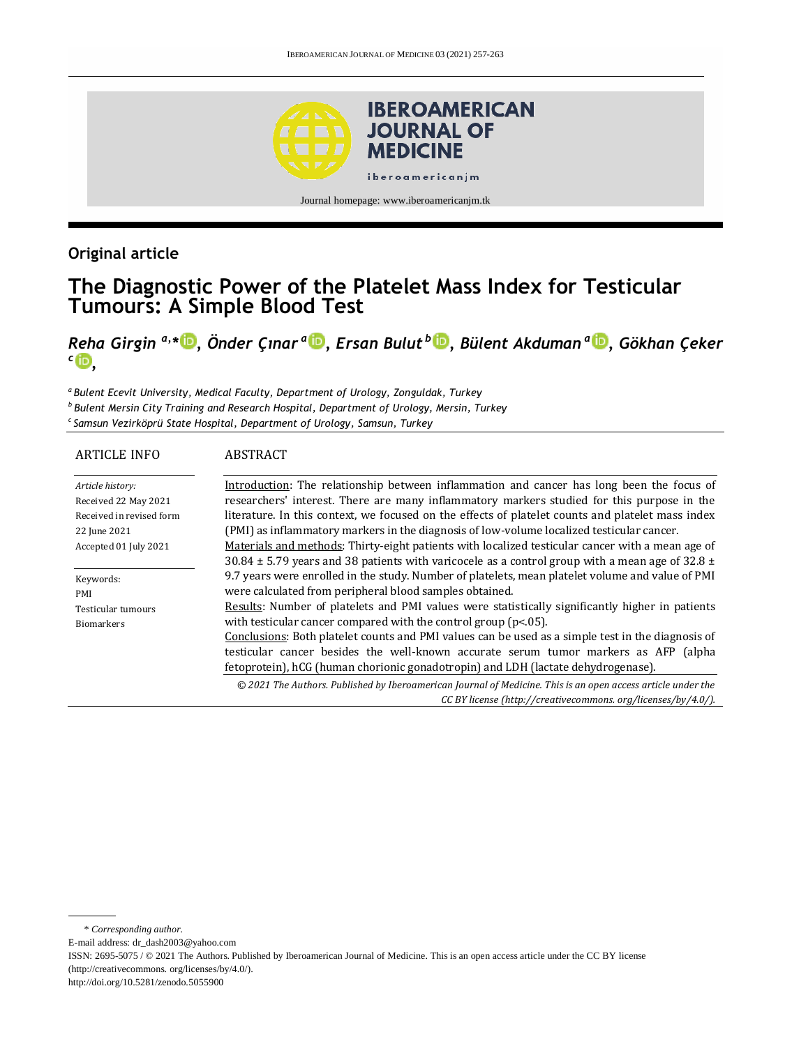

## **Original article**

# **The Diagnostic Power of the Platelet Mass Index for Testicular Tumours: A Simple Blood Test**

*Reha Girgin a,\* [,](http://orcid.org/0000-0003-1132-8629) Önder Çınar <sup>a</sup> [,](http://orcid.org/0000-0002-0107-5843) Ersan Bulut <sup>b</sup> [,](http://orcid.org/0000-0001-6454-4152) Bülent Akduman <sup>a</sup> , Gökhan Çeker c [,](http://orcid.org/0000-0002-7891-9450)*

*<sup>a</sup>Bulent Ecevit University, Medical Faculty, Department of Urology, Zonguldak, Turkey b Bulent Mersin City Training and Research Hospital, Department of Urology, Mersin, Turkey c Samsun Vezirköprü State Hospital, Department of Urology, Samsun, Turkey*

| <b>ARTICLE INFO</b>      | ABSTRACT                                                                                                     |  |  |
|--------------------------|--------------------------------------------------------------------------------------------------------------|--|--|
| Article history:         | Introduction: The relationship between inflammation and cancer has long been the focus of                    |  |  |
| Received 22 May 2021     | researchers' interest. There are many inflammatory markers studied for this purpose in the                   |  |  |
| Received in revised form | literature. In this context, we focused on the effects of platelet counts and platelet mass index            |  |  |
| 22 June 2021             | (PMI) as inflammatory markers in the diagnosis of low-volume localized testicular cancer.                    |  |  |
| Accepted 01 July 2021    | Materials and methods: Thirty-eight patients with localized testicular cancer with a mean age of             |  |  |
|                          | 30.84 $\pm$ 5.79 years and 38 patients with varicocele as a control group with a mean age of 32.8 $\pm$      |  |  |
| Keywords:                | 9.7 years were enrolled in the study. Number of platelets, mean platelet volume and value of PMI             |  |  |
| PMI                      | were calculated from peripheral blood samples obtained.                                                      |  |  |
| Testicular tumours       | Results: Number of platelets and PMI values were statistically significantly higher in patients              |  |  |
| <b>Biomarkers</b>        | with testicular cancer compared with the control group ( $p<0.05$ ).                                         |  |  |
|                          | Conclusions: Both platelet counts and PMI values can be used as a simple test in the diagnosis of            |  |  |
|                          | testicular cancer besides the well-known accurate serum tumor markers as AFP (alpha                          |  |  |
|                          | fetoprotein), hCG (human chorionic gonadotropin) and LDH (lactate dehydrogenase).                            |  |  |
|                          | © 2021 The Authors. Published by Iberoamerican Journal of Medicine. This is an open access article under the |  |  |
|                          | CC BY license (http://creativecommons.org/licenses/by/4.0/).                                                 |  |  |

\* *Corresponding author.*

E-mail address: dr\_dash2003@yahoo.com

ISSN: 2695-5075 / © 2021 The Authors. Published by Iberoamerican Journal of Medicine. This is an open access article under the CC BY license (http://creativecommons. org/licenses/by/4.0/).

http://doi.org/10.5281/zenodo.5055900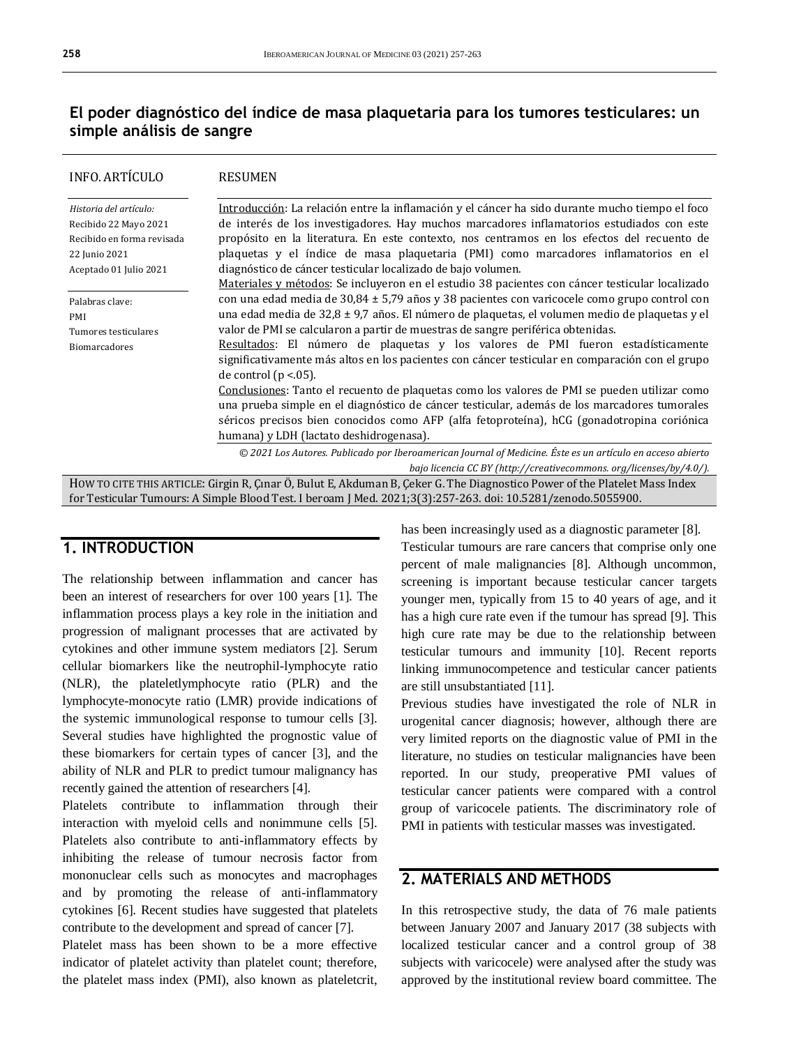## **El poder diagnóstico del índice de masa plaquetaria para los tumores testiculares: un simple análisis de sangre**

| <b>INFO. ARTÍCULO</b>                                                                                                      | <b>RESUMEN</b>                                                                                             |  |  |  |
|----------------------------------------------------------------------------------------------------------------------------|------------------------------------------------------------------------------------------------------------|--|--|--|
| Historia del artículo:                                                                                                     | Introducción: La relación entre la inflamación y el cáncer ha sido durante mucho tiempo el foco            |  |  |  |
| Recibido 22 Mayo 2021                                                                                                      | de interés de los investigadores. Hay muchos marcadores inflamatorios estudiados con este                  |  |  |  |
| Recibido en forma revisada                                                                                                 | propósito en la literatura. En este contexto, nos centramos en los efectos del recuento de                 |  |  |  |
| 22 Junio 2021                                                                                                              | plaquetas y el índice de masa plaquetaria (PMI) como marcadores inflamatorios en el                        |  |  |  |
| Aceptado 01 Julio 2021                                                                                                     | diagnóstico de cáncer testicular localizado de bajo volumen.                                               |  |  |  |
|                                                                                                                            | Materiales y métodos: Se incluyeron en el estudio 38 pacientes con cáncer testicular localizado            |  |  |  |
| Palabras clave:                                                                                                            | con una edad media de $30,84 \pm 5,79$ años y 38 pacientes con varicocele como grupo control con           |  |  |  |
| PMI                                                                                                                        | una edad media de $32.8 \pm 9.7$ años. El número de plaguetas, el volumen medio de plaguetas y el          |  |  |  |
| Tumores testiculares                                                                                                       | valor de PMI se calcularon a partir de muestras de sangre periférica obtenidas.                            |  |  |  |
| <b>Biomarcadores</b>                                                                                                       | Resultados: El número de plaquetas y los valores de PMI fueron estadísticamente                            |  |  |  |
|                                                                                                                            | significativamente más altos en los pacientes con cáncer testicular en comparación con el grupo            |  |  |  |
|                                                                                                                            | de control ( $p < 05$ ).                                                                                   |  |  |  |
|                                                                                                                            | Conclusiones: Tanto el recuento de plaquetas como los valores de PMI se pueden utilizar como               |  |  |  |
|                                                                                                                            | una prueba simple en el diagnóstico de cáncer testicular, además de los marcadores tumorales               |  |  |  |
|                                                                                                                            | séricos precisos bien conocidos como AFP (alfa fetoproteína), hCG (gonadotropina coriónica                 |  |  |  |
|                                                                                                                            | humana) y LDH (lactato deshidrogenasa).                                                                    |  |  |  |
|                                                                                                                            | © 2021 Los Autores. Publicado por Iberoamerican Journal of Medicine. Éste es un artículo en acceso abierto |  |  |  |
|                                                                                                                            | bajo licencia CC BY (http://creativecommons.org/licenses/by/4.0/).                                         |  |  |  |
| HOW TO CITE THIS ARTICLE: Girgin R, Çınar Ö, Bulut E, Akduman B, Çeker G. The Diagnostico Power of the Platelet Mass Index |                                                                                                            |  |  |  |
| for Testicular Tumours: A Simple Blood Test. I beroam J Med. 2021;3(3):257-263. doi: 10.5281/zenodo.5055900.               |                                                                                                            |  |  |  |

## **1. INTRODUCTION**

The relationship between inflammation and cancer has been an interest of researchers for over 100 years [1]. The inflammation process plays a key role in the initiation and progression of malignant processes that are activated by cytokines and other immune system mediators [2]. Serum cellular biomarkers like the neutrophil-lymphocyte ratio (NLR), the plateletlymphocyte ratio (PLR) and the lymphocyte-monocyte ratio (LMR) provide indications of the systemic immunological response to tumour cells [3]. Several studies have highlighted the prognostic value of these biomarkers for certain types of cancer [3], and the ability of NLR and PLR to predict tumour malignancy has recently gained the attention of researchers [4].

Platelets contribute to inflammation through their interaction with myeloid cells and nonimmune cells [5]. Platelets also contribute to anti-inflammatory effects by inhibiting the release of tumour necrosis factor from mononuclear cells such as monocytes and macrophages and by promoting the release of anti-inflammatory cytokines [6]. Recent studies have suggested that platelets contribute to the development and spread of cancer [7].

Platelet mass has been shown to be a more effective indicator of platelet activity than platelet count; therefore, the platelet mass index (PMI), also known as plateletcrit,

has been increasingly used as a diagnostic parameter [8].

Testicular tumours are rare cancers that comprise only one percent of male malignancies [8]. Although uncommon, screening is important because testicular cancer targets younger men, typically from 15 to 40 years of age, and it has a high cure rate even if the tumour has spread [9]. This high cure rate may be due to the relationship between testicular tumours and immunity [10]. Recent reports linking immunocompetence and testicular cancer patients are still unsubstantiated [11].

Previous studies have investigated the role of NLR in urogenital cancer diagnosis; however, although there are very limited reports on the diagnostic value of PMI in the literature, no studies on testicular malignancies have been reported. In our study, preoperative PMI values of testicular cancer patients were compared with a control group of varicocele patients. The discriminatory role of PMI in patients with testicular masses was investigated.

## **2. MATERIALS AND METHODS**

In this retrospective study, the data of 76 male patients between January 2007 and January 2017 (38 subjects with localized testicular cancer and a control group of 38 subjects with varicocele) were analysed after the study was approved by the institutional review board committee. The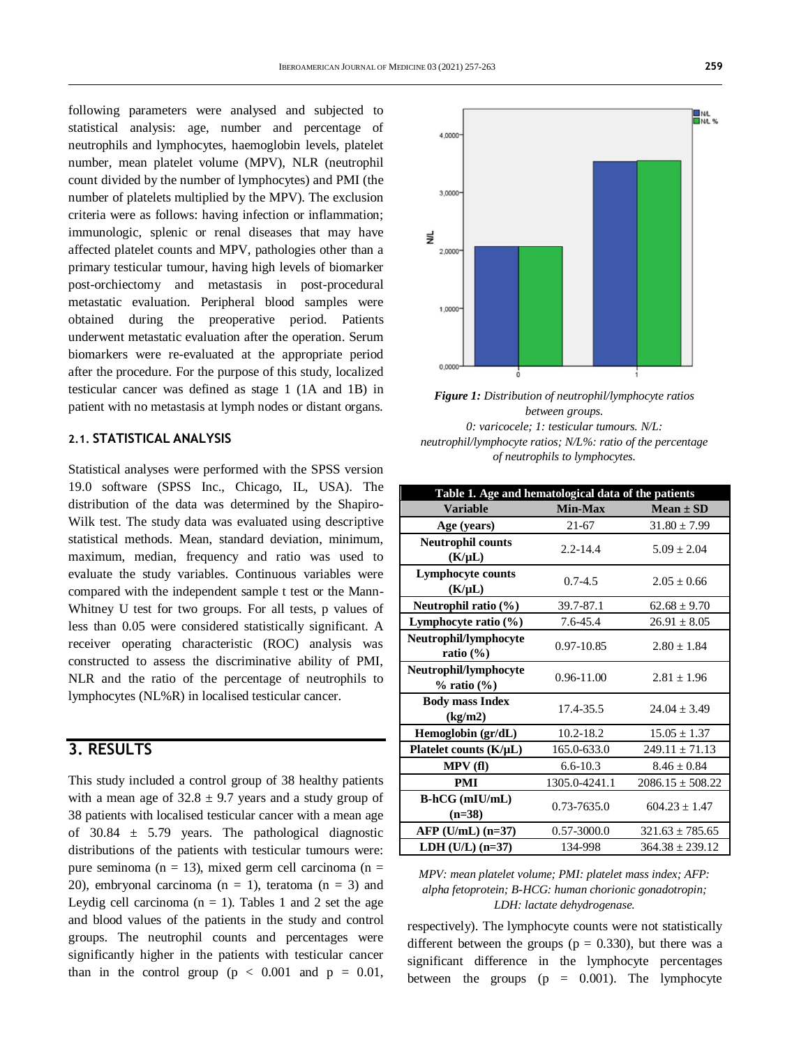following parameters were analysed and subjected to statistical analysis: age, number and percentage of neutrophils and lymphocytes, haemoglobin levels, platelet number, mean platelet volume (MPV), NLR (neutrophil count divided by the number of lymphocytes) and PMI (the number of platelets multiplied by the MPV). The exclusion criteria were as follows: having infection or inflammation; immunologic, splenic or renal diseases that may have affected platelet counts and MPV, pathologies other than a primary testicular tumour, having high levels of biomarker post-orchiectomy and metastasis in post-procedural metastatic evaluation. Peripheral blood samples were obtained during the preoperative period. Patients underwent metastatic evaluation after the operation. Serum biomarkers were re-evaluated at the appropriate period after the procedure. For the purpose of this study, localized testicular cancer was defined as stage 1 (1A and 1B) in patient with no metastasis at lymph nodes or distant organs.

#### **2.1. STATISTICAL ANALYSIS**

Statistical analyses were performed with the SPSS version 19.0 software (SPSS Inc., Chicago, IL, USA). The distribution of the data was determined by the Shapiro-Wilk test. The study data was evaluated using descriptive statistical methods. Mean, standard deviation, minimum, maximum, median, frequency and ratio was used to evaluate the study variables. Continuous variables were compared with the independent sample t test or the Mann-Whitney U test for two groups. For all tests, p values of less than 0.05 were considered statistically significant. A receiver operating characteristic (ROC) analysis was constructed to assess the discriminative ability of PMI, NLR and the ratio of the percentage of neutrophils to lymphocytes (NL%R) in localised testicular cancer.

## **3. RESULTS**

This study included a control group of 38 healthy patients with a mean age of  $32.8 \pm 9.7$  years and a study group of 38 patients with localised testicular cancer with a mean age of 30.84  $\pm$  5.79 years. The pathological diagnostic distributions of the patients with testicular tumours were: pure seminoma (n = 13), mixed germ cell carcinoma (n = 20), embryonal carcinoma ( $n = 1$ ), teratoma ( $n = 3$ ) and Leydig cell carcinoma ( $n = 1$ ). Tables 1 and 2 set the age and blood values of the patients in the study and control groups. The neutrophil counts and percentages were significantly higher in the patients with testicular cancer than in the control group  $(p < 0.001$  and  $p = 0.01$ ,





| Table 1. Age and hematological data of the patients |                |                      |  |  |  |  |
|-----------------------------------------------------|----------------|----------------------|--|--|--|--|
| <b>Variable</b>                                     | <b>Min-Max</b> | $Mean \pm SD$        |  |  |  |  |
| Age (years)                                         | $21 - 67$      | $31.80 \pm 7.99$     |  |  |  |  |
| <b>Neutrophil counts</b><br>$(K/\mu L)$             | $2.2 - 14.4$   | $5.09 + 2.04$        |  |  |  |  |
| <b>Lymphocyte counts</b><br>$(K/\mu L)$             | $0.7 - 4.5$    | $2.05 + 0.66$        |  |  |  |  |
| Neutrophil ratio $(\%)$                             | 39.7-87.1      | $62.68 \pm 9.70$     |  |  |  |  |
| Lymphocyte ratio $(\% )$                            | 7.6-45.4       | $26.91 \pm 8.05$     |  |  |  |  |
| Neutrophil/lymphocyte<br>ratio $(\% )$              | 0.97-10.85     | $2.80 \pm 1.84$      |  |  |  |  |
| Neutrophil/lymphocyte<br>$%$ ratio $(\%)$           | 0.96-11.00     | $2.81 + 1.96$        |  |  |  |  |
| <b>Body mass Index</b><br>(kg/m2)                   | 17.4-35.5      | $24.04 + 3.49$       |  |  |  |  |
| Hemoglobin $(\text{gr}/\text{d}L)$                  | $10.2 - 18.2$  | $15.05 + 1.37$       |  |  |  |  |
| Platelet counts $(K/\mu L)$                         | 165.0-633.0    | $249.11 \pm 71.13$   |  |  |  |  |
| MPV(f)                                              | $6.6 - 10.3$   | $8.46 \pm 0.84$      |  |  |  |  |
| <b>PMI</b>                                          | 1305.0-4241.1  | $2086.15 \pm 508.22$ |  |  |  |  |
| $B-hCG$ (mIU/mL)<br>$(n=38)$                        | 0.73-7635.0    | $604.23 + 1.47$      |  |  |  |  |
| $AFP$ (U/mL) (n=37)                                 | 0.57-3000.0    | $321.63 \pm 785.65$  |  |  |  |  |
| $LDH (U/L) (n=37)$                                  | 134-998        | $364.38 + 239.12$    |  |  |  |  |

*MPV: mean platelet volume; PMI: platelet mass index; AFP: alpha fetoprotein; B-HCG: human chorionic gonadotropin; LDH: lactate dehydrogenase.*

respectively). The lymphocyte counts were not statistically different between the groups ( $p = 0.330$ ), but there was a significant difference in the lymphocyte percentages between the groups  $(p = 0.001)$ . The lymphocyte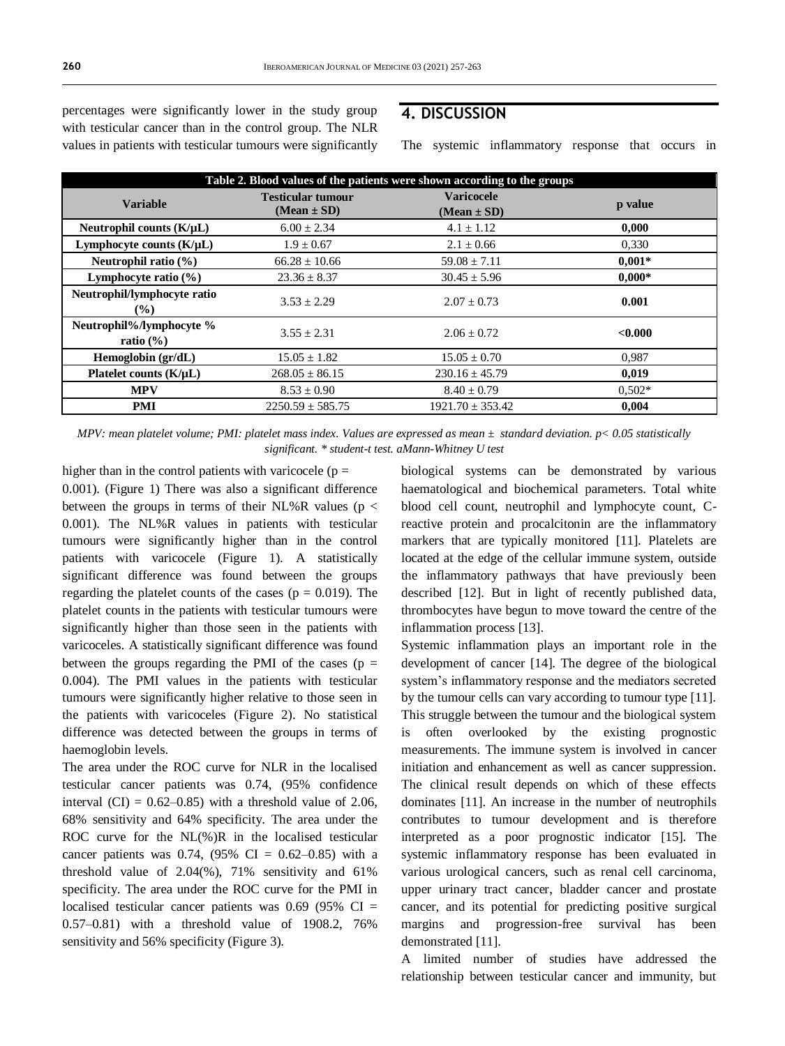percentages were significantly lower in the study group with testicular cancer than in the control group. The NLR values in patients with testicular tumours were significantly

### **4. DISCUSSION**

The systemic inflammatory response that occurs in

| Table 2. Blood values of the patients were shown according to the groups |                                             |                                      |          |  |  |
|--------------------------------------------------------------------------|---------------------------------------------|--------------------------------------|----------|--|--|
| <b>Variable</b>                                                          | <b>Testicular tumour</b><br>$(Mean \pm SD)$ | <b>Varicocele</b><br>$(Mean \pm SD)$ | p value  |  |  |
| Neutrophil counts $(K/\mu L)$                                            | $6.00 \pm 2.34$                             | $4.1 \pm 1.12$                       | 0,000    |  |  |
| Lymphocyte counts $(K/\mu L)$                                            | $1.9 \pm 0.67$                              | $2.1 \pm 0.66$                       | 0,330    |  |  |
| Neutrophil ratio (%)                                                     | $66.28 \pm 10.66$                           | $59.08 \pm 7.11$                     | $0.001*$ |  |  |
| Lymphocyte ratio $(\% )$                                                 | $23.36 \pm 8.37$                            | $30.45 \pm 5.96$                     | $0.000*$ |  |  |
| Neutrophil/lymphocyte ratio<br>$($ %)                                    | $3.53 + 2.29$                               | $2.07 \pm 0.73$                      | 0.001    |  |  |
| Neutrophil%/lymphocyte %<br>ratio $(\% )$                                | $3.55 + 2.31$                               | $2.06 \pm 0.72$                      | < 0.000  |  |  |
| Hemoglobin (gr/dL)                                                       | $15.05 \pm 1.82$                            | $15.05 \pm 0.70$                     | 0,987    |  |  |
| Platelet counts $(K/uL)$                                                 | $268.05 \pm 86.15$                          | $230.16 \pm 45.79$                   | 0,019    |  |  |
| <b>MPV</b>                                                               | $8.53 \pm 0.90$                             | $8.40 \pm 0.79$                      | $0.502*$ |  |  |
| <b>PMI</b>                                                               | $2250.59 \pm 585.75$                        | $1921.70 \pm 353.42$                 | 0.004    |  |  |

*MPV: mean platelet volume; PMI: platelet mass index. Values are expressed as mean ± standard deviation. p< 0.05 statistically significant. \* student-t test. aMann-Whitney U test*

higher than in the control patients with varicocele ( $p =$ 0.001). (Figure 1) There was also a significant difference between the groups in terms of their NL%R values ( $p <$ 0.001). The NL%R values in patients with testicular tumours were significantly higher than in the control patients with varicocele (Figure 1). A statistically significant difference was found between the groups regarding the platelet counts of the cases ( $p = 0.019$ ). The platelet counts in the patients with testicular tumours were significantly higher than those seen in the patients with varicoceles. A statistically significant difference was found between the groups regarding the PMI of the cases ( $p =$ 0.004). The PMI values in the patients with testicular tumours were significantly higher relative to those seen in the patients with varicoceles (Figure 2). No statistical difference was detected between the groups in terms of haemoglobin levels.

The area under the ROC curve for NLR in the localised testicular cancer patients was 0.74, (95% confidence interval  $(CI) = 0.62{\text -}0.85$  with a threshold value of 2.06, 68% sensitivity and 64% specificity. The area under the ROC curve for the NL(%)R in the localised testicular cancer patients was 0.74,  $(95\% \text{ CI} = 0.62{\text -}0.85)$  with a threshold value of  $2.04\%$ ),  $71\%$  sensitivity and  $61\%$ specificity. The area under the ROC curve for the PMI in localised testicular cancer patients was  $0.69$  (95% CI = 0.57–0.81) with a threshold value of 1908.2, 76% sensitivity and 56% specificity (Figure 3).

biological systems can be demonstrated by various haematological and biochemical parameters. Total white blood cell count, neutrophil and lymphocyte count, Creactive protein and procalcitonin are the inflammatory markers that are typically monitored [11]. Platelets are located at the edge of the cellular immune system, outside the inflammatory pathways that have previously been described [12]. But in light of recently published data, thrombocytes have begun to move toward the centre of the inflammation process [13].

Systemic inflammation plays an important role in the development of cancer [14]. The degree of the biological system's inflammatory response and the mediators secreted by the tumour cells can vary according to tumour type [11]. This struggle between the tumour and the biological system is often overlooked by the existing prognostic measurements. The immune system is involved in cancer initiation and enhancement as well as cancer suppression. The clinical result depends on which of these effects dominates [11]. An increase in the number of neutrophils contributes to tumour development and is therefore interpreted as a poor prognostic indicator [15]. The systemic inflammatory response has been evaluated in various urological cancers, such as renal cell carcinoma, upper urinary tract cancer, bladder cancer and prostate cancer, and its potential for predicting positive surgical margins and progression-free survival has been demonstrated [11].

A limited number of studies have addressed the relationship between testicular cancer and immunity, but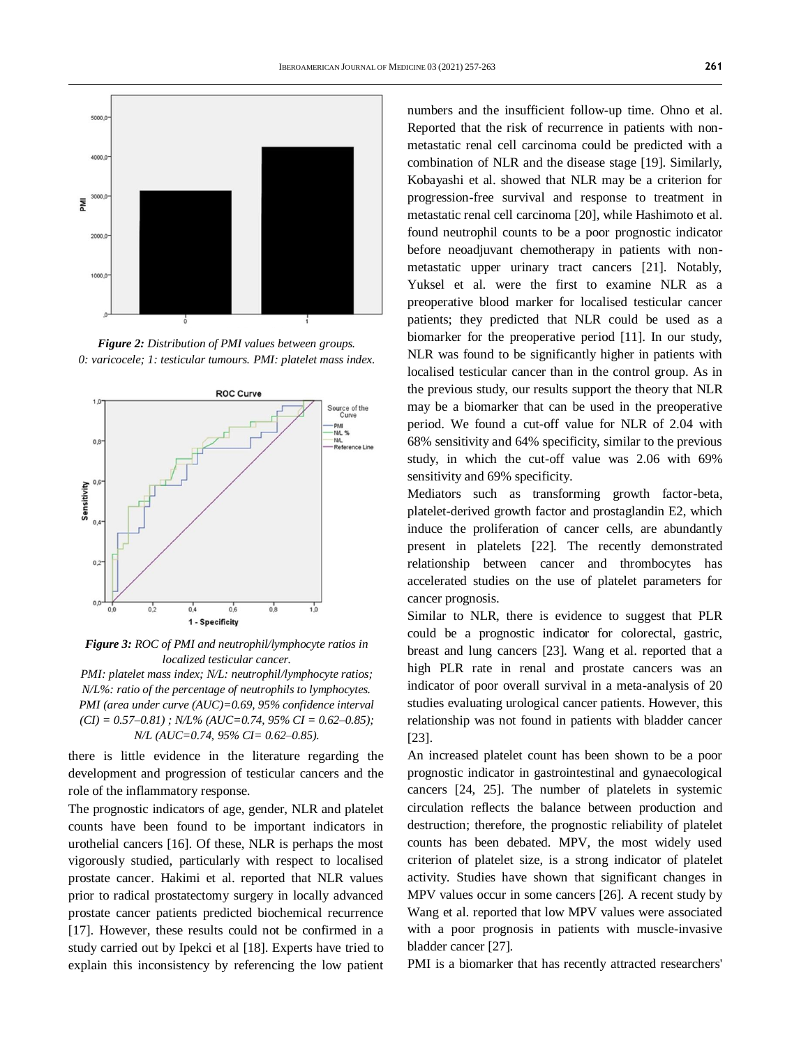

*Figure 2: Distribution of PMI values between groups. 0: varicocele; 1: testicular tumours. PMI: platelet mass index.*



*Figure 3: ROC of PMI and neutrophil/lymphocyte ratios in localized testicular cancer.*

*PMI: platelet mass index; N/L: neutrophil/lymphocyte ratios; N/L%: ratio of the percentage of neutrophils to lymphocytes. PMI (area under curve (AUC)=0.69, 95% confidence interval (CI) = 0.57–0.81) ; N/L% (AUC=0.74, 95% CI = 0.62–0.85); N/L (AUC=0.74, 95% CI= 0.62–0.85).*

there is little evidence in the literature regarding the development and progression of testicular cancers and the role of the inflammatory response.

The prognostic indicators of age, gender, NLR and platelet counts have been found to be important indicators in urothelial cancers [16]. Of these, NLR is perhaps the most vigorously studied, particularly with respect to localised prostate cancer. Hakimi et al. reported that NLR values prior to radical prostatectomy surgery in locally advanced prostate cancer patients predicted biochemical recurrence [17]. However, these results could not be confirmed in a study carried out by Ipekci et al [18]. Experts have tried to explain this inconsistency by referencing the low patient

numbers and the insufficient follow-up time. Ohno et al. Reported that the risk of recurrence in patients with nonmetastatic renal cell carcinoma could be predicted with a combination of NLR and the disease stage [19]. Similarly, Kobayashi et al. showed that NLR may be a criterion for progression-free survival and response to treatment in metastatic renal cell carcinoma [20], while Hashimoto et al. found neutrophil counts to be a poor prognostic indicator before neoadjuvant chemotherapy in patients with nonmetastatic upper urinary tract cancers [21]. Notably, Yuksel et al. were the first to examine NLR as a preoperative blood marker for localised testicular cancer patients; they predicted that NLR could be used as a biomarker for the preoperative period [11]. In our study, NLR was found to be significantly higher in patients with localised testicular cancer than in the control group. As in the previous study, our results support the theory that NLR may be a biomarker that can be used in the preoperative period. We found a cut-off value for NLR of 2.04 with 68% sensitivity and 64% specificity, similar to the previous study, in which the cut-off value was 2.06 with 69% sensitivity and 69% specificity.

Mediators such as transforming growth factor-beta, platelet-derived growth factor and prostaglandin E2, which induce the proliferation of cancer cells, are abundantly present in platelets [22]. The recently demonstrated relationship between cancer and thrombocytes has accelerated studies on the use of platelet parameters for cancer prognosis.

Similar to NLR, there is evidence to suggest that PLR could be a prognostic indicator for colorectal, gastric, breast and lung cancers [23]. Wang et al. reported that a high PLR rate in renal and prostate cancers was an indicator of poor overall survival in a meta-analysis of 20 studies evaluating urological cancer patients. However, this relationship was not found in patients with bladder cancer [23].

An increased platelet count has been shown to be a poor prognostic indicator in gastrointestinal and gynaecological cancers [24, 25]. The number of platelets in systemic circulation reflects the balance between production and destruction; therefore, the prognostic reliability of platelet counts has been debated. MPV, the most widely used criterion of platelet size, is a strong indicator of platelet activity. Studies have shown that significant changes in MPV values occur in some cancers [26]. A recent study by Wang et al. reported that low MPV values were associated with a poor prognosis in patients with muscle-invasive bladder cancer [27].

PMI is a biomarker that has recently attracted researchers'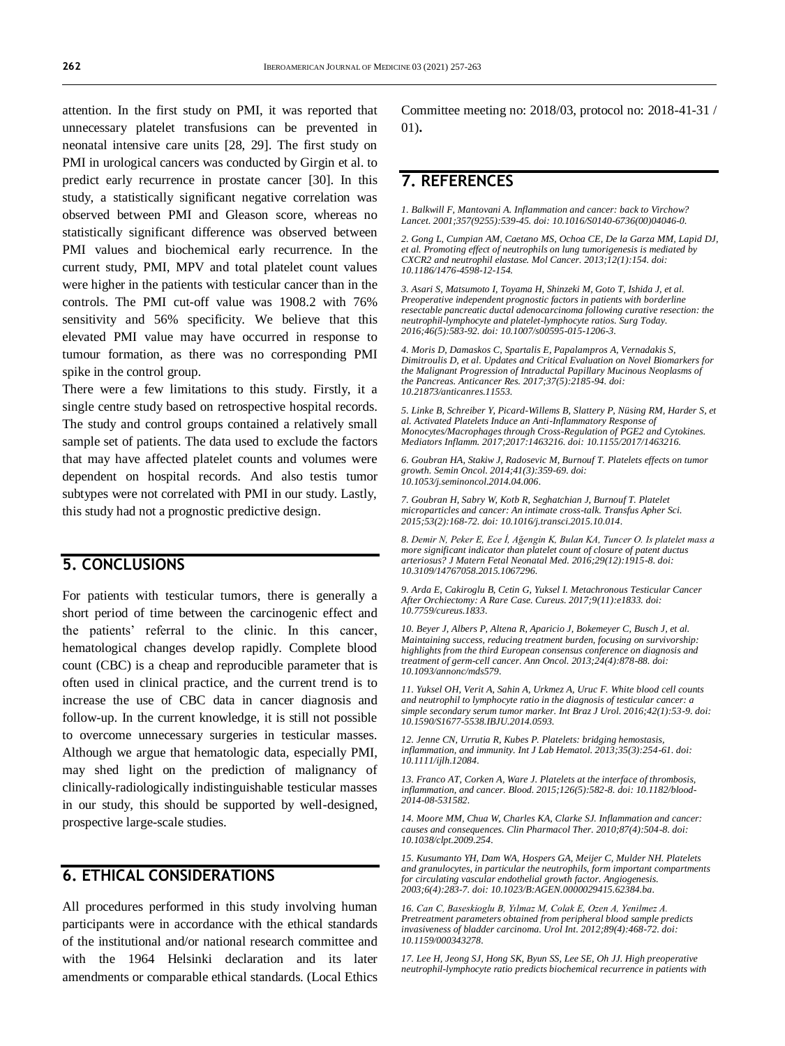attention. In the first study on PMI, it was reported that unnecessary platelet transfusions can be prevented in neonatal intensive care units [28, 29]. The first study on PMI in urological cancers was conducted by Girgin et al. to predict early recurrence in prostate cancer [30]. In this study, a statistically significant negative correlation was observed between PMI and Gleason score, whereas no statistically significant difference was observed between PMI values and biochemical early recurrence. In the current study, PMI, MPV and total platelet count values were higher in the patients with testicular cancer than in the controls. The PMI cut-off value was 1908.2 with 76% sensitivity and 56% specificity. We believe that this elevated PMI value may have occurred in response to tumour formation, as there was no corresponding PMI spike in the control group.

There were a few limitations to this study. Firstly, it a single centre study based on retrospective hospital records. The study and control groups contained a relatively small sample set of patients. The data used to exclude the factors that may have affected platelet counts and volumes were dependent on hospital records. And also testis tumor subtypes were not correlated with PMI in our study. Lastly, this study had not a prognostic predictive design.

## **5. CONCLUSIONS**

For patients with testicular tumors, there is generally a short period of time between the carcinogenic effect and the patients' referral to the clinic. In this cancer, hematological changes develop rapidly. Complete blood count (CBC) is a cheap and reproducible parameter that is often used in clinical practice, and the current trend is to increase the use of CBC data in cancer diagnosis and follow-up. In the current knowledge, it is still not possible to overcome unnecessary surgeries in testicular masses. Although we argue that hematologic data, especially PMI, may shed light on the prediction of malignancy of clinically-radiologically indistinguishable testicular masses in our study, this should be supported by well-designed, prospective large-scale studies.

## **6. ETHICAL CONSIDERATIONS**

All procedures performed in this study involving human participants were in accordance with the ethical standards of the institutional and/or national research committee and with the 1964 Helsinki declaration and its later amendments or comparable ethical standards. (Local Ethics

Committee meeting no: 2018/03, protocol no: 2018-41-31 / 01)**.**

## **7. REFERENCES**

*1. Balkwill F, Mantovani A. Inflammation and cancer: back to Virchow? Lancet. 2001;357(9255):539-45. doi[: 10.1016/S0140-6736\(00\)04046-0.](https://doi.org/10.1016/s0140-6736(00)04046-0)*

*2. Gong L, Cumpian AM, Caetano MS, Ochoa CE, De la Garza MM, Lapid DJ, et al. Promoting effect of neutrophils on lung tumorigenesis is mediated by CXCR2 and neutrophil elastase. Mol Cancer. 2013;12(1):154. doi: [10.1186/1476-4598-12-154.](https://doi.org/10.1186/1476-4598-12-154)*

*3. Asari S, Matsumoto I, Toyama H, Shinzeki M, Goto T, Ishida J, et al. Preoperative independent prognostic factors in patients with borderline resectable pancreatic ductal adenocarcinoma following curative resection: the neutrophil-lymphocyte and platelet-lymphocyte ratios. Surg Today. 2016;46(5):583-92. doi[: 10.1007/s00595-015-1206-3.](https://doi.org/10.1007/s00595-015-1206-3)*

*4. Moris D, Damaskos C, Spartalis E, Papalampros A, Vernadakis S, Dimitroulis D, et al. Updates and Critical Evaluation on Novel Biomarkers for*  the Malignant Progression of Intraductal Papillary Mucinous Neoplasms of<br>the Pancreas. Anticancer Res. 2017;37(5):2185-94. doi: *[10.21873/anticanres.11553.](https://doi.org/10.21873/anticanres.11553)*

*5. Linke B, Schreiber Y, Picard-Willems B, Slattery P, Nüsing RM, Harder S, et al. Activated Platelets Induce an Anti-Inflammatory Response of Monocytes/Macrophages through Cross-Regulation of PGE2 and Cytokines. Mediators Inflamm. 2017;2017:1463216. doi[: 10.1155/2017/1463216.](https://doi.org/10.1155/2017/1463216)*

*6. Goubran HA, Stakiw J, Radosevic M, Burnouf T. Platelets effects on tumor growth. Semin Oncol. 2014;41(3):359-69. doi: [10.1053/j.seminoncol.2014.04.006.](https://doi.org/10.1053/j.seminoncol.2014.04.006)*

*7. Goubran H, Sabry W, Kotb R, Seghatchian J, Burnouf T. Platelet microparticles and cancer: An intimate cross-talk. Transfus Apher Sci. 2015;53(2):168-72. doi[: 10.1016/j.transci.2015.10.014.](https://doi.org/10.1016/j.transci.2015.10.014)*

*8. Demir N, Peker E, Ece İ, Ağengin K, Bulan KA, Tuncer O. Is platelet mass a more significant indicator than platelet count of closure of patent ductus arteriosus? J Matern Fetal Neonatal Med. 2016;29(12):1915-8. doi: [10.3109/14767058.2015.1067296.](https://doi.org/10.3109/14767058.2015.1067296)*

*9. Arda E, Cakiroglu B, Cetin G, Yuksel I. Metachronous Testicular Cancer After Orchiectomy: A Rare Case. Cureus. 2017;9(11):e1833. doi: [10.7759/cureus.1833.](https://doi.org/10.7759/cureus.1833)*

*10. Beyer J, Albers P, Altena R, Aparicio J, Bokemeyer C, Busch J, et al. Maintaining success, reducing treatment burden, focusing on survivorship: highlights from the third European consensus conference on diagnosis and treatment of germ-cell cancer. Ann Oncol. 2013;24(4):878-88. doi: [10.1093/annonc/mds579.](https://doi.org/10.1093/annonc/mds579)*

*11. Yuksel OH, Verit A, Sahin A, Urkmez A, Uruc F. White blood cell counts and neutrophil to lymphocyte ratio in the diagnosis of testicular cancer: a simple secondary serum tumor marker. Int Braz J Urol. 2016;42(1):53-9. doi: [10.1590/S1677-5538.IBJU.2014.0593.](https://doi.org/10.1590/s1677-5538.ibju.2014.0593)*

*12. Jenne CN, Urrutia R, Kubes P. Platelets: bridging hemostasis, inflammation, and immunity. Int J Lab Hematol. 2013;35(3):254-61. doi: [10.1111/ijlh.12084.](https://doi.org/10.1111/ijlh.12084)*

*13. Franco AT, Corken A, Ware J. Platelets at the interface of thrombosis, inflammation, and cancer. Blood. 2015;126(5):582-8. doi[: 10.1182/blood-](https://doi.org/10.1182/blood-2014-08-531582)[2014-08-531582.](https://doi.org/10.1182/blood-2014-08-531582)*

*14. Moore MM, Chua W, Charles KA, Clarke SJ. Inflammation and cancer: causes and consequences. Clin Pharmacol Ther. 2010;87(4):504-8. doi: [10.1038/clpt.2009.254.](https://doi.org/10.1038/clpt.2009.254)*

*15. Kusumanto YH, Dam WA, Hospers GA, Meijer C, Mulder NH. Platelets and granulocytes, in particular the neutrophils, form important compartments for circulating vascular endothelial growth factor. Angiogenesis. 2003;6(4):283-7. doi[: 10.1023/B:AGEN.0000029415.62384.ba.](https://doi.org/10.1023/b:agen.0000029415.62384.ba)*

*16. Can C, Baseskioglu B, Yılmaz M, Colak E, Ozen A, Yenilmez A. Pretreatment parameters obtained from peripheral blood sample predicts invasiveness of bladder carcinoma. Urol Int. 2012;89(4):468-72. doi: [10.1159/000343278.](https://doi.org/10.1159/000343278)*

*17. Lee H, Jeong SJ, Hong SK, Byun SS, Lee SE, Oh JJ. High preoperative neutrophil-lymphocyte ratio predicts biochemical recurrence in patients with*